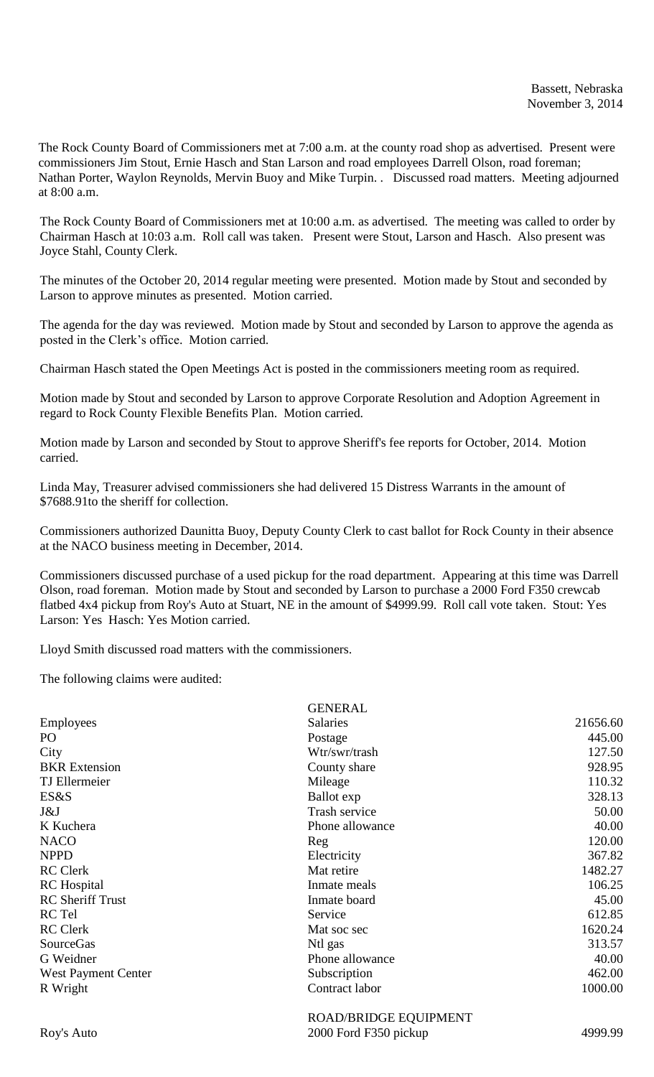The Rock County Board of Commissioners met at 7:00 a.m. at the county road shop as advertised. Present were commissioners Jim Stout, Ernie Hasch and Stan Larson and road employees Darrell Olson, road foreman; Nathan Porter, Waylon Reynolds, Mervin Buoy and Mike Turpin. . Discussed road matters. Meeting adjourned at 8:00 a.m.

The Rock County Board of Commissioners met at 10:00 a.m. as advertised. The meeting was called to order by Chairman Hasch at 10:03 a.m. Roll call was taken. Present were Stout, Larson and Hasch. Also present was Joyce Stahl, County Clerk.

The minutes of the October 20, 2014 regular meeting were presented. Motion made by Stout and seconded by Larson to approve minutes as presented. Motion carried.

The agenda for the day was reviewed. Motion made by Stout and seconded by Larson to approve the agenda as posted in the Clerk's office. Motion carried.

Chairman Hasch stated the Open Meetings Act is posted in the commissioners meeting room as required.

Motion made by Stout and seconded by Larson to approve Corporate Resolution and Adoption Agreement in regard to Rock County Flexible Benefits Plan. Motion carried.

Motion made by Larson and seconded by Stout to approve Sheriff's fee reports for October, 2014. Motion carried.

Linda May, Treasurer advised commissioners she had delivered 15 Distress Warrants in the amount of \$7688.91to the sheriff for collection.

Commissioners authorized Daunitta Buoy, Deputy County Clerk to cast ballot for Rock County in their absence at the NACO business meeting in December, 2014.

Commissioners discussed purchase of a used pickup for the road department. Appearing at this time was Darrell Olson, road foreman. Motion made by Stout and seconded by Larson to purchase a 2000 Ford F350 crewcab flatbed 4x4 pickup from Roy's Auto at Stuart, NE in the amount of \$4999.99. Roll call vote taken. Stout: Yes Larson: Yes Hasch: Yes Motion carried.

Lloyd Smith discussed road matters with the commissioners.

The following claims were audited:

|                            | <b>GENERAL</b>                              |          |
|----------------------------|---------------------------------------------|----------|
| Employees                  | <b>Salaries</b>                             | 21656.60 |
| PO                         | Postage                                     | 445.00   |
| City                       | Wtr/swr/trash                               | 127.50   |
| <b>BKR</b> Extension       | County share                                | 928.95   |
| TJ Ellermeier              | Mileage                                     | 110.32   |
| ES&S                       | Ballot exp                                  | 328.13   |
| J&J                        | Trash service                               | 50.00    |
| K Kuchera                  | Phone allowance                             | 40.00    |
| <b>NACO</b>                | Reg                                         | 120.00   |
| <b>NPPD</b>                | Electricity                                 | 367.82   |
| <b>RC</b> Clerk            | Mat retire                                  | 1482.27  |
| <b>RC</b> Hospital         | Inmate meals                                | 106.25   |
| <b>RC</b> Sheriff Trust    | Inmate board                                | 45.00    |
| RC Tel                     | Service                                     | 612.85   |
| <b>RC</b> Clerk            | Mat soc sec                                 | 1620.24  |
| <b>SourceGas</b>           | Ntl gas                                     | 313.57   |
| G Weidner                  | Phone allowance                             | 40.00    |
| <b>West Payment Center</b> | Subscription                                | 462.00   |
| R Wright                   | Contract labor                              | 1000.00  |
|                            | $D \cap A$ D $D$ D ID $C$ L $D$ LOI HDM ENT |          |

ROAD/BRIDGE EQUIPMENT Roy's Auto 2000 Ford F350 pickup 4999.99